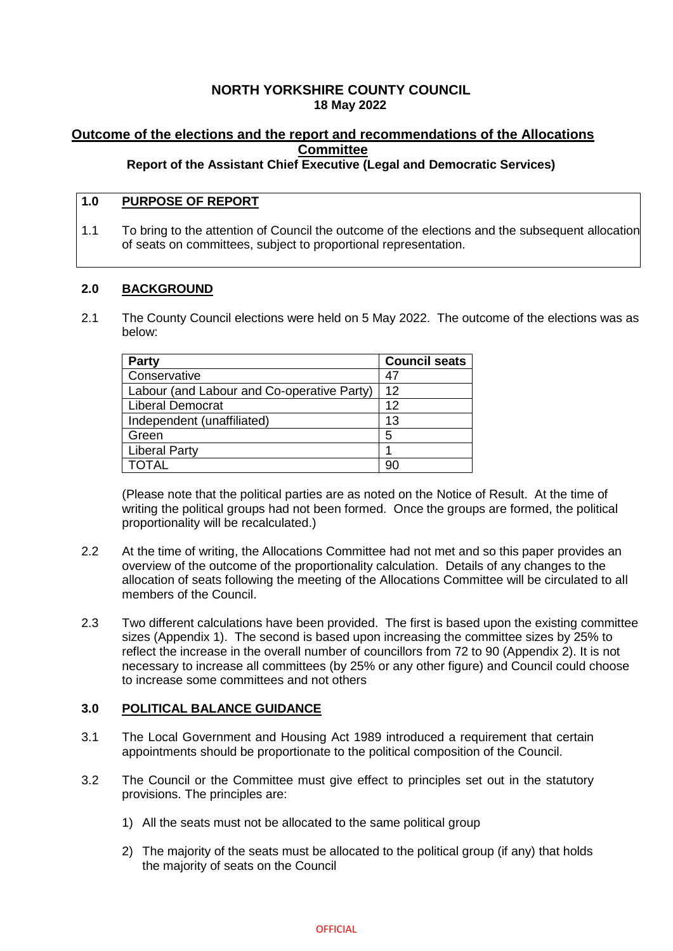## **NORTH YORKSHIRE COUNTY COUNCIL 18 May 2022**

# **Outcome of the elections and the report and recommendations of the Allocations Committee**

# **Report of the Assistant Chief Executive (Legal and Democratic Services)**

## **1.0 PURPOSE OF REPORT**

1.1 To bring to the attention of Council the outcome of the elections and the subsequent allocation of seats on committees, subject to proportional representation.

### **2.0 BACKGROUND**

2.1 The County Council elections were held on 5 May 2022. The outcome of the elections was as below:

| <b>Party</b>                               | <b>Council seats</b> |
|--------------------------------------------|----------------------|
| Conservative                               | 47                   |
| Labour (and Labour and Co-operative Party) | 12                   |
| <b>Liberal Democrat</b>                    | 12                   |
| Independent (unaffiliated)                 | 13                   |
| Green                                      | 5                    |
| <b>Liberal Party</b>                       |                      |
|                                            |                      |

(Please note that the political parties are as noted on the Notice of Result. At the time of writing the political groups had not been formed. Once the groups are formed, the political proportionality will be recalculated.)

- 2.2 At the time of writing, the Allocations Committee had not met and so this paper provides an overview of the outcome of the proportionality calculation. Details of any changes to the allocation of seats following the meeting of the Allocations Committee will be circulated to all members of the Council.
- 2.3 Two different calculations have been provided. The first is based upon the existing committee sizes (Appendix 1). The second is based upon increasing the committee sizes by 25% to reflect the increase in the overall number of councillors from 72 to 90 (Appendix 2). It is not necessary to increase all committees (by 25% or any other figure) and Council could choose to increase some committees and not others

### **3.0 POLITICAL BALANCE GUIDANCE**

- 3.1 The Local Government and Housing Act 1989 introduced a requirement that certain appointments should be proportionate to the political composition of the Council.
- 3.2 The Council or the Committee must give effect to principles set out in the statutory provisions. The principles are:
	- 1) All the seats must not be allocated to the same political group
	- 2) The majority of the seats must be allocated to the political group (if any) that holds the majority of seats on the Council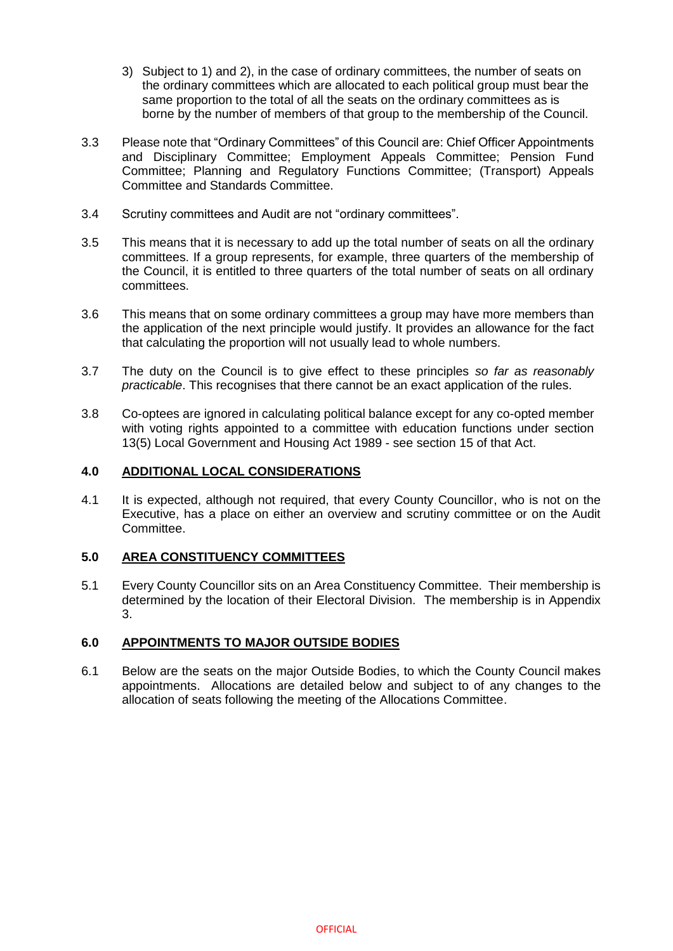- 3) Subject to 1) and 2), in the case of ordinary committees, the number of seats on the ordinary committees which are allocated to each political group must bear the same proportion to the total of all the seats on the ordinary committees as is borne by the number of members of that group to the membership of the Council.
- 3.3 Please note that "Ordinary Committees" of this Council are: Chief Officer Appointments and Disciplinary Committee; Employment Appeals Committee; Pension Fund Committee; Planning and Regulatory Functions Committee; (Transport) Appeals Committee and Standards Committee.
- 3.4 Scrutiny committees and Audit are not "ordinary committees".
- 3.5 This means that it is necessary to add up the total number of seats on all the ordinary committees. If a group represents, for example, three quarters of the membership of the Council, it is entitled to three quarters of the total number of seats on all ordinary committees.
- 3.6 This means that on some ordinary committees a group may have more members than the application of the next principle would justify. It provides an allowance for the fact that calculating the proportion will not usually lead to whole numbers.
- 3.7 The duty on the Council is to give effect to these principles *so far as reasonably practicable*. This recognises that there cannot be an exact application of the rules.
- 3.8 Co-optees are ignored in calculating political balance except for any co-opted member with voting rights appointed to a committee with education functions under section 13(5) Local Government and Housing Act 1989 - see section 15 of that Act.

#### **4.0 ADDITIONAL LOCAL CONSIDERATIONS**

4.1 It is expected, although not required, that every County Councillor, who is not on the Executive, has a place on either an overview and scrutiny committee or on the Audit Committee.

### **5.0 AREA CONSTITUENCY COMMITTEES**

5.1 Every County Councillor sits on an Area Constituency Committee. Their membership is determined by the location of their Electoral Division. The membership is in Appendix 3.

### **6.0 APPOINTMENTS TO MAJOR OUTSIDE BODIES**

6.1 Below are the seats on the major Outside Bodies, to which the County Council makes appointments. Allocations are detailed below and subject to of any changes to the allocation of seats following the meeting of the Allocations Committee.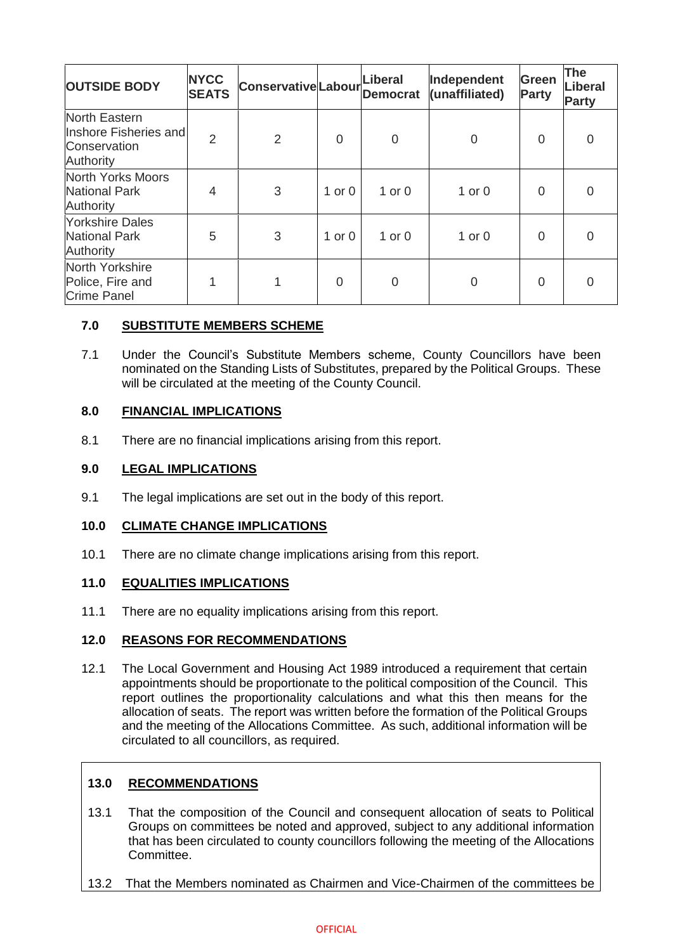| <b>OUTSIDE BODY</b>                                                 | <b>NYCC</b><br><b>SEATS</b> | <b>Conservative Labour</b> |            | Liberal<br><b>Democrat</b> | Independent<br>(unaffiliated) | Green<br><b>Party</b> | <b>The</b><br>Liberal<br><b>Party</b> |
|---------------------------------------------------------------------|-----------------------------|----------------------------|------------|----------------------------|-------------------------------|-----------------------|---------------------------------------|
| North Eastern<br>Inshore Fisheries and<br>Conservation<br>Authority | 2                           | $\overline{2}$             | $\Omega$   | $\mathbf 0$                | 0                             | 0                     | $\overline{0}$                        |
| North Yorks Moors<br><b>National Park</b><br>Authority              | 4                           | 3                          | 1 or $0$   | $1$ or $0$                 | $1$ or $0$                    | 0                     | $\Omega$                              |
| <b>Yorkshire Dales</b><br><b>National Park</b><br>Authority         | 5                           | 3                          | $1$ or $0$ | $1$ or $0$                 | $1$ or $0$                    | 0                     | $\Omega$                              |
| North Yorkshire<br>Police, Fire and<br><b>Crime Panel</b>           |                             | 1                          | $\Omega$   | $\overline{0}$             | $\Omega$                      | 0                     | $\Omega$                              |

# **7.0 SUBSTITUTE MEMBERS SCHEME**

7.1 Under the Council's Substitute Members scheme, County Councillors have been nominated on the Standing Lists of Substitutes, prepared by the Political Groups. These will be circulated at the meeting of the County Council.

# **8.0 FINANCIAL IMPLICATIONS**

8.1 There are no financial implications arising from this report.

### **9.0 LEGAL IMPLICATIONS**

9.1 The legal implications are set out in the body of this report.

### **10.0 CLIMATE CHANGE IMPLICATIONS**

10.1 There are no climate change implications arising from this report.

### **11.0 EQUALITIES IMPLICATIONS**

11.1 There are no equality implications arising from this report.

### **12.0 REASONS FOR RECOMMENDATIONS**

12.1 The Local Government and Housing Act 1989 introduced a requirement that certain appointments should be proportionate to the political composition of the Council. This report outlines the proportionality calculations and what this then means for the allocation of seats. The report was written before the formation of the Political Groups and the meeting of the Allocations Committee. As such, additional information will be circulated to all councillors, as required.

# **13.0 RECOMMENDATIONS**

- 13.1 That the composition of the Council and consequent allocation of seats to Political Groups on committees be noted and approved, subject to any additional information that has been circulated to county councillors following the meeting of the Allocations Committee.
- 13.2 That the Members nominated as Chairmen and Vice-Chairmen of the committees be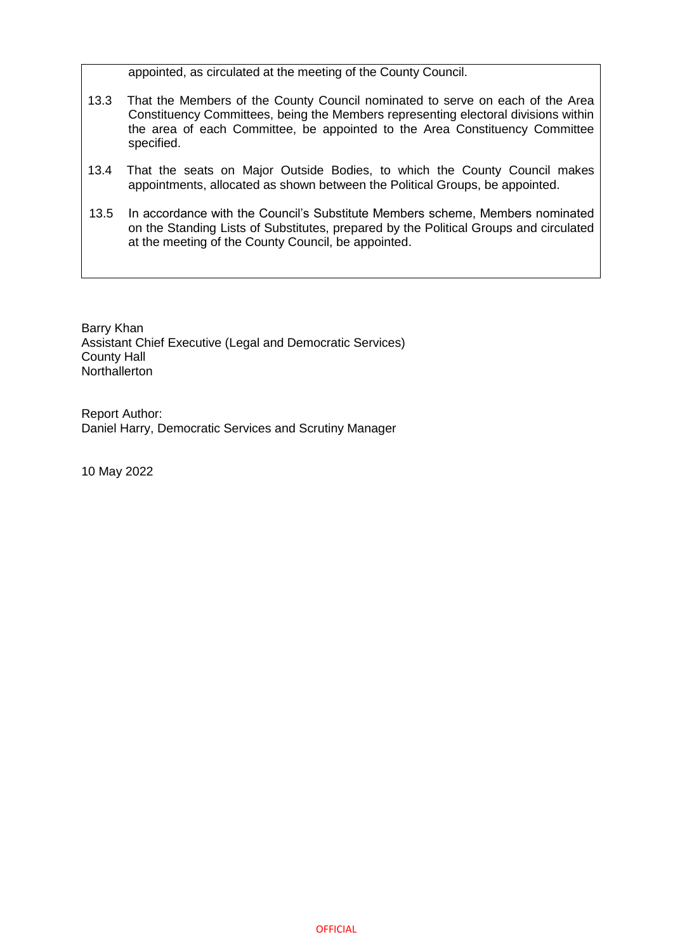appointed, as circulated at the meeting of the County Council.

- 13.3 That the Members of the County Council nominated to serve on each of the Area Constituency Committees, being the Members representing electoral divisions within the area of each Committee, be appointed to the Area Constituency Committee specified.
- 13.4 That the seats on Major Outside Bodies, to which the County Council makes appointments, allocated as shown between the Political Groups, be appointed.
- 13.5 In accordance with the Council's Substitute Members scheme, Members nominated on the Standing Lists of Substitutes, prepared by the Political Groups and circulated at the meeting of the County Council, be appointed.

Barry Khan Assistant Chief Executive (Legal and Democratic Services) County Hall **Northallerton** 

Report Author: Daniel Harry, Democratic Services and Scrutiny Manager

10 May 2022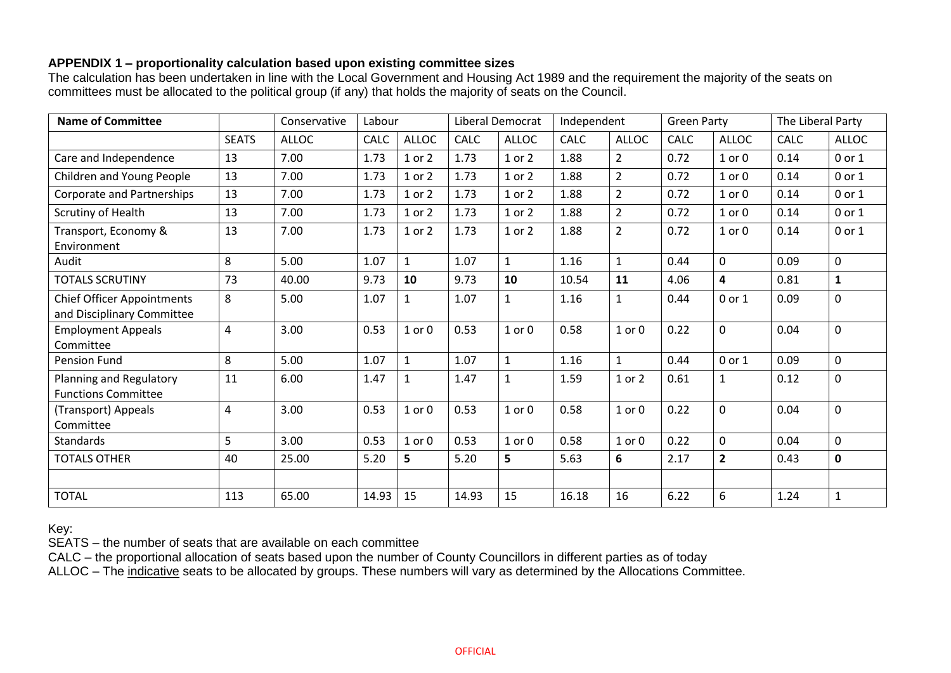### **APPENDIX 1 – proportionality calculation based upon existing committee sizes**

The calculation has been undertaken in line with the Local Government and Housing Act 1989 and the requirement the majority of the seats on committees must be allocated to the political group (if any) that holds the majority of seats on the Council.

| <b>Name of Committee</b>                                        |              | Conservative | Labour |              |       | Liberal Democrat | Independent |                | <b>Green Party</b> |                | The Liberal Party |              |
|-----------------------------------------------------------------|--------------|--------------|--------|--------------|-------|------------------|-------------|----------------|--------------------|----------------|-------------------|--------------|
|                                                                 | <b>SEATS</b> | <b>ALLOC</b> | CALC   | ALLOC        | CALC  | <b>ALLOC</b>     | <b>CALC</b> | <b>ALLOC</b>   | CALC               | <b>ALLOC</b>   | <b>CALC</b>       | <b>ALLOC</b> |
| Care and Independence                                           | 13           | 7.00         | 1.73   | 1 or 2       | 1.73  | 1 or 2           | 1.88        | $\overline{2}$ | 0.72               | $1$ or $0$     | 0.14              | 0 or 1       |
| Children and Young People                                       | 13           | 7.00         | 1.73   | 1 or 2       | 1.73  | 1 or 2           | 1.88        | $\overline{2}$ | 0.72               | $1$ or $0$     | 0.14              | $0$ or $1$   |
| Corporate and Partnerships                                      | 13           | 7.00         | 1.73   | 1 or 2       | 1.73  | 1 or 2           | 1.88        | $\overline{2}$ | 0.72               | $1$ or $0$     | 0.14              | 0 or 1       |
| Scrutiny of Health                                              | 13           | 7.00         | 1.73   | 1 or 2       | 1.73  | 1 or 2           | 1.88        | $\overline{2}$ | 0.72               | $1$ or $0$     | 0.14              | 0 or 1       |
| Transport, Economy &<br>Environment                             | 13           | 7.00         | 1.73   | $1$ or $2$   | 1.73  | 1 or 2           | 1.88        | $\overline{2}$ | 0.72               | $1$ or $0$     | 0.14              | 0 or 1       |
| Audit                                                           | 8            | 5.00         | 1.07   | $\mathbf{1}$ | 1.07  | $\mathbf{1}$     | 1.16        | $\mathbf{1}$   | 0.44               | 0              | 0.09              | $\mathbf 0$  |
| <b>TOTALS SCRUTINY</b>                                          | 73           | 40.00        | 9.73   | 10           | 9.73  | 10               | 10.54       | 11             | 4.06               | 4              | 0.81              | $\mathbf{1}$ |
| <b>Chief Officer Appointments</b><br>and Disciplinary Committee | 8            | 5.00         | 1.07   | 1            | 1.07  | $\mathbf{1}$     | 1.16        | 1              | 0.44               | 0 or 1         | 0.09              | $\mathbf 0$  |
| <b>Employment Appeals</b><br>Committee                          | 4            | 3.00         | 0.53   | $1$ or $0$   | 0.53  | $1$ or $0$       | 0.58        | $1$ or $0$     | 0.22               | 0              | 0.04              | $\mathbf 0$  |
| Pension Fund                                                    | 8            | 5.00         | 1.07   | $\mathbf{1}$ | 1.07  | $\mathbf{1}$     | 1.16        | $\mathbf{1}$   | 0.44               | 0 or 1         | 0.09              | $\mathbf 0$  |
| Planning and Regulatory<br><b>Functions Committee</b>           | 11           | 6.00         | 1.47   | $\mathbf{1}$ | 1.47  | $\mathbf{1}$     | 1.59        | $1$ or $2$     | 0.61               | 1              | 0.12              | $\mathbf 0$  |
| (Transport) Appeals<br>Committee                                | 4            | 3.00         | 0.53   | $1$ or $0$   | 0.53  | $1$ or $0$       | 0.58        | $1$ or $0$     | 0.22               | 0              | 0.04              | $\mathbf 0$  |
| Standards                                                       | 5            | 3.00         | 0.53   | $1$ or $0$   | 0.53  | $1$ or $0$       | 0.58        | $1$ or $0$     | 0.22               | 0              | 0.04              | $\mathbf 0$  |
| <b>TOTALS OTHER</b>                                             | 40           | 25.00        | 5.20   | 5            | 5.20  | 5                | 5.63        | 6              | 2.17               | $\overline{2}$ | 0.43              | $\pmb{0}$    |
|                                                                 |              |              |        |              |       |                  |             |                |                    |                |                   |              |
| <b>TOTAL</b>                                                    | 113          | 65.00        | 14.93  | 15           | 14.93 | 15               | 16.18       | 16             | 6.22               | 6              | 1.24              | $\mathbf 1$  |

Key:

SEATS – the number of seats that are available on each committee

CALC – the proportional allocation of seats based upon the number of County Councillors in different parties as of today

ALLOC – The indicative seats to be allocated by groups. These numbers will vary as determined by the Allocations Committee.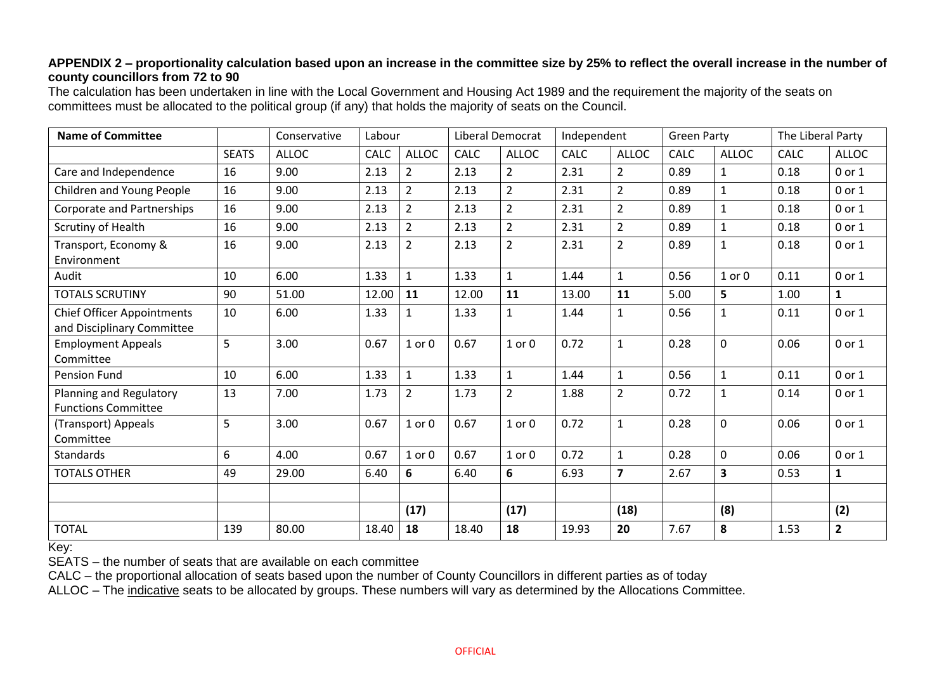### **APPENDIX 2 – proportionality calculation based upon an increase in the committee size by 25% to reflect the overall increase in the number of county councillors from 72 to 90**

The calculation has been undertaken in line with the Local Government and Housing Act 1989 and the requirement the majority of the seats on committees must be allocated to the political group (if any) that holds the majority of seats on the Council.

| <b>Name of Committee</b>                                        |              | Conservative | Labour |                | Liberal Democrat |                | Independent |                | <b>Green Party</b> |              | The Liberal Party |                |
|-----------------------------------------------------------------|--------------|--------------|--------|----------------|------------------|----------------|-------------|----------------|--------------------|--------------|-------------------|----------------|
|                                                                 | <b>SEATS</b> | <b>ALLOC</b> | CALC   | <b>ALLOC</b>   | CALC             | <b>ALLOC</b>   | <b>CALC</b> | <b>ALLOC</b>   | <b>CALC</b>        | <b>ALLOC</b> | <b>CALC</b>       | <b>ALLOC</b>   |
| Care and Independence                                           | 16           | 9.00         | 2.13   | $\overline{2}$ | 2.13             | $\overline{2}$ | 2.31        | $\overline{2}$ | 0.89               | $\mathbf{1}$ | 0.18              | 0 or 1         |
| Children and Young People                                       | 16           | 9.00         | 2.13   | $\overline{2}$ | 2.13             | $\overline{2}$ | 2.31        | $\overline{2}$ | 0.89               | $\mathbf{1}$ | 0.18              | 0 or 1         |
| Corporate and Partnerships                                      | 16           | 9.00         | 2.13   | $\overline{2}$ | 2.13             | $\overline{2}$ | 2.31        | $\overline{2}$ | 0.89               | $\mathbf{1}$ | 0.18              | 0 or 1         |
| Scrutiny of Health                                              | 16           | 9.00         | 2.13   | $\overline{2}$ | 2.13             | $\overline{2}$ | 2.31        | $\overline{2}$ | 0.89               | $\mathbf{1}$ | 0.18              | $0$ or $1$     |
| Transport, Economy &<br>Environment                             | 16           | 9.00         | 2.13   | $\overline{2}$ | 2.13             | $\overline{2}$ | 2.31        | $\overline{2}$ | 0.89               | $\mathbf{1}$ | 0.18              | 0 or 1         |
| Audit                                                           | 10           | 6.00         | 1.33   | $\mathbf 1$    | 1.33             | $\mathbf{1}$   | 1.44        | $\mathbf{1}$   | 0.56               | $1$ or $0$   | 0.11              | 0 or 1         |
| <b>TOTALS SCRUTINY</b>                                          | 90           | 51.00        | 12.00  | 11             | 12.00            | 11             | 13.00       | 11             | 5.00               | 5            | 1.00              | $\mathbf{1}$   |
| <b>Chief Officer Appointments</b><br>and Disciplinary Committee | 10           | 6.00         | 1.33   | 1              | 1.33             | $\mathbf{1}$   | 1.44        | $\mathbf{1}$   | 0.56               | $\mathbf{1}$ | 0.11              | 0 or 1         |
| <b>Employment Appeals</b><br>Committee                          | 5            | 3.00         | 0.67   | $1$ or $0$     | 0.67             | $1$ or $0$     | 0.72        | $\mathbf{1}$   | 0.28               | $\mathbf 0$  | 0.06              | 0 or 1         |
| Pension Fund                                                    | 10           | 6.00         | 1.33   | $\mathbf{1}$   | 1.33             | $\mathbf{1}$   | 1.44        | $\mathbf{1}$   | 0.56               | $\mathbf{1}$ | 0.11              | 0 or 1         |
| Planning and Regulatory<br><b>Functions Committee</b>           | 13           | 7.00         | 1.73   | $\overline{2}$ | 1.73             | $\overline{2}$ | 1.88        | $\overline{2}$ | 0.72               | 1            | 0.14              | $0$ or $1$     |
| (Transport) Appeals<br>Committee                                | 5            | 3.00         | 0.67   | $1$ or $0$     | 0.67             | $1$ or $0$     | 0.72        | $\mathbf{1}$   | 0.28               | $\mathbf 0$  | 0.06              | $0$ or $1$     |
| Standards                                                       | 6            | 4.00         | 0.67   | $1$ or $0$     | 0.67             | $1$ or $0$     | 0.72        | $\mathbf{1}$   | 0.28               | $\mathbf 0$  | 0.06              | 0 or 1         |
| <b>TOTALS OTHER</b>                                             | 49           | 29.00        | 6.40   | 6              | 6.40             | 6              | 6.93        | $\overline{7}$ | 2.67               | 3            | 0.53              | $\mathbf{1}$   |
|                                                                 |              |              |        |                |                  |                |             |                |                    |              |                   |                |
|                                                                 |              |              |        | (17)           |                  | (17)           |             | (18)           |                    | (8)          |                   | (2)            |
| <b>TOTAL</b>                                                    | 139          | 80.00        | 18.40  | 18             | 18.40            | 18             | 19.93       | 20             | 7.67               | 8            | 1.53              | $\overline{2}$ |

Key:

SEATS – the number of seats that are available on each committee

CALC – the proportional allocation of seats based upon the number of County Councillors in different parties as of today

ALLOC – The indicative seats to be allocated by groups. These numbers will vary as determined by the Allocations Committee.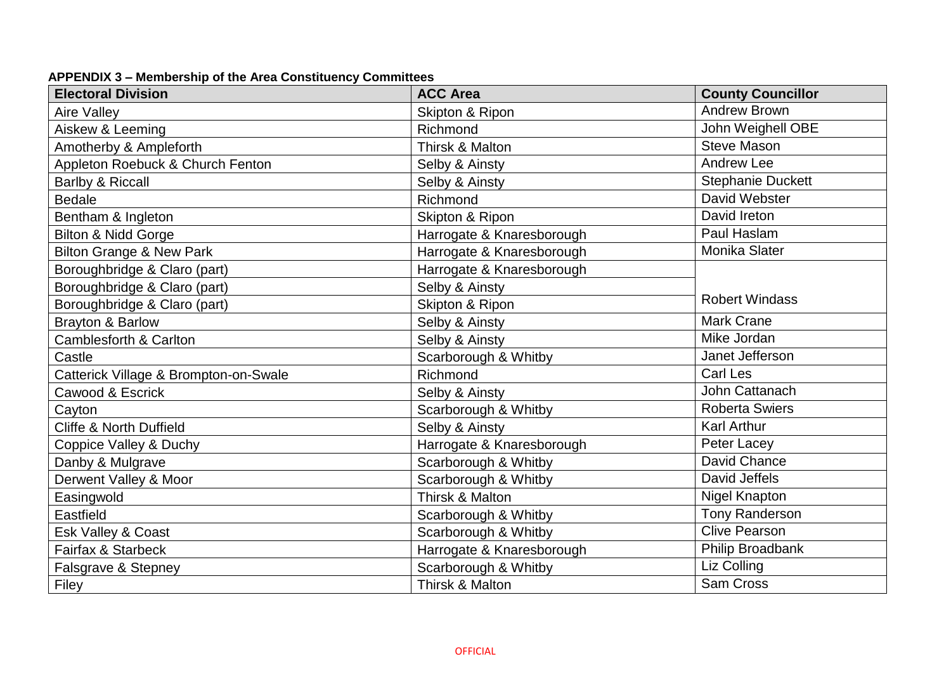| <b>Electoral Division</b>             | <b>ACC Area</b>           | <b>County Councillor</b> |  |
|---------------------------------------|---------------------------|--------------------------|--|
| <b>Aire Valley</b>                    | Skipton & Ripon           | <b>Andrew Brown</b>      |  |
| Aiskew & Leeming                      | Richmond                  | John Weighell OBE        |  |
| Amotherby & Ampleforth                | Thirsk & Malton           | <b>Steve Mason</b>       |  |
| Appleton Roebuck & Church Fenton      | Selby & Ainsty            | <b>Andrew Lee</b>        |  |
| Barlby & Riccall                      | Selby & Ainsty            | <b>Stephanie Duckett</b> |  |
| <b>Bedale</b>                         | Richmond                  | David Webster            |  |
| Bentham & Ingleton                    | Skipton & Ripon           | David Ireton             |  |
| <b>Bilton &amp; Nidd Gorge</b>        | Harrogate & Knaresborough | Paul Haslam              |  |
| <b>Bilton Grange &amp; New Park</b>   | Harrogate & Knaresborough | Monika Slater            |  |
| Boroughbridge & Claro (part)          | Harrogate & Knaresborough |                          |  |
| Boroughbridge & Claro (part)          | Selby & Ainsty            |                          |  |
| Boroughbridge & Claro (part)          | Skipton & Ripon           | <b>Robert Windass</b>    |  |
| <b>Brayton &amp; Barlow</b>           | Selby & Ainsty            | <b>Mark Crane</b>        |  |
| <b>Camblesforth &amp; Carlton</b>     | Selby & Ainsty            | Mike Jordan              |  |
| Castle                                | Scarborough & Whitby      | Janet Jefferson          |  |
| Catterick Village & Brompton-on-Swale | Richmond                  | <b>Carl Les</b>          |  |
| Cawood & Escrick                      | Selby & Ainsty            | John Cattanach           |  |
| Cayton                                | Scarborough & Whitby      | <b>Roberta Swiers</b>    |  |
| <b>Cliffe &amp; North Duffield</b>    | Selby & Ainsty            | <b>Karl Arthur</b>       |  |
| Coppice Valley & Duchy                | Harrogate & Knaresborough | Peter Lacey              |  |
| Danby & Mulgrave                      | Scarborough & Whitby      | <b>David Chance</b>      |  |
| Derwent Valley & Moor                 | Scarborough & Whitby      | David Jeffels            |  |
| Easingwold                            | Thirsk & Malton           | Nigel Knapton            |  |
| Eastfield                             | Scarborough & Whitby      | <b>Tony Randerson</b>    |  |
| Esk Valley & Coast                    | Scarborough & Whitby      | <b>Clive Pearson</b>     |  |
| Fairfax & Starbeck                    | Harrogate & Knaresborough | Philip Broadbank         |  |
| Falsgrave & Stepney                   | Scarborough & Whitby      | Liz Colling              |  |
| Filey                                 | Thirsk & Malton           | <b>Sam Cross</b>         |  |

## **APPENDIX 3 – Membership of the Area Constituency Committees**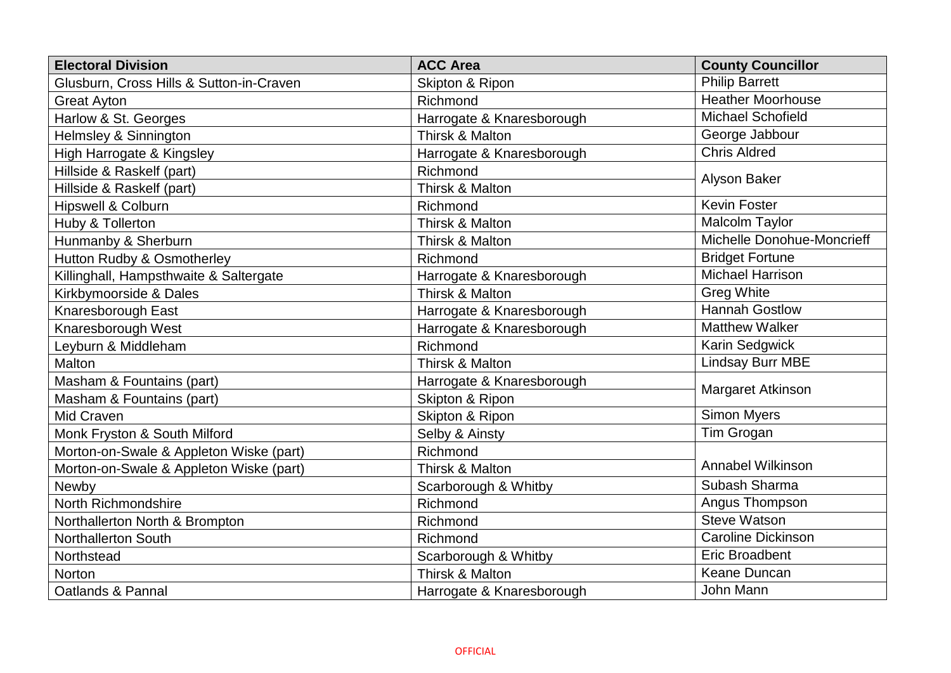| <b>Electoral Division</b>                | <b>ACC Area</b>           | <b>County Councillor</b>   |
|------------------------------------------|---------------------------|----------------------------|
| Glusburn, Cross Hills & Sutton-in-Craven | Skipton & Ripon           | <b>Philip Barrett</b>      |
| <b>Great Ayton</b>                       | Richmond                  | <b>Heather Moorhouse</b>   |
| Harlow & St. Georges                     | Harrogate & Knaresborough | <b>Michael Schofield</b>   |
| Helmsley & Sinnington                    | Thirsk & Malton           | George Jabbour             |
| High Harrogate & Kingsley                | Harrogate & Knaresborough | <b>Chris Aldred</b>        |
| Hillside & Raskelf (part)                | Richmond                  |                            |
| Hillside & Raskelf (part)                | Thirsk & Malton           | <b>Alyson Baker</b>        |
| <b>Hipswell &amp; Colburn</b>            | Richmond                  | <b>Kevin Foster</b>        |
| Huby & Tollerton                         | Thirsk & Malton           | Malcolm Taylor             |
| Hunmanby & Sherburn                      | Thirsk & Malton           | Michelle Donohue-Moncrieff |
| Hutton Rudby & Osmotherley               | Richmond                  | <b>Bridget Fortune</b>     |
| Killinghall, Hampsthwaite & Saltergate   | Harrogate & Knaresborough | <b>Michael Harrison</b>    |
| Kirkbymoorside & Dales                   | Thirsk & Malton           | <b>Greg White</b>          |
| Knaresborough East                       | Harrogate & Knaresborough | <b>Hannah Gostlow</b>      |
| Knaresborough West                       | Harrogate & Knaresborough | <b>Matthew Walker</b>      |
| Leyburn & Middleham                      | Richmond                  | Karin Sedgwick             |
| Malton                                   | Thirsk & Malton           | <b>Lindsay Burr MBE</b>    |
| Masham & Fountains (part)                | Harrogate & Knaresborough | Margaret Atkinson          |
| Masham & Fountains (part)                | Skipton & Ripon           |                            |
| Mid Craven                               | Skipton & Ripon           | <b>Simon Myers</b>         |
| Monk Fryston & South Milford             | Selby & Ainsty            | Tim Grogan                 |
| Morton-on-Swale & Appleton Wiske (part)  | Richmond                  |                            |
| Morton-on-Swale & Appleton Wiske (part)  | Thirsk & Malton           | <b>Annabel Wilkinson</b>   |
| Newby                                    | Scarborough & Whitby      | Subash Sharma              |
| North Richmondshire                      | Richmond                  | Angus Thompson             |
| Northallerton North & Brompton           | Richmond                  | <b>Steve Watson</b>        |
| <b>Northallerton South</b>               | Richmond                  | <b>Caroline Dickinson</b>  |
| Northstead                               | Scarborough & Whitby      | <b>Eric Broadbent</b>      |
| <b>Norton</b>                            | Thirsk & Malton           | Keane Duncan               |
| Oatlands & Pannal                        | Harrogate & Knaresborough | John Mann                  |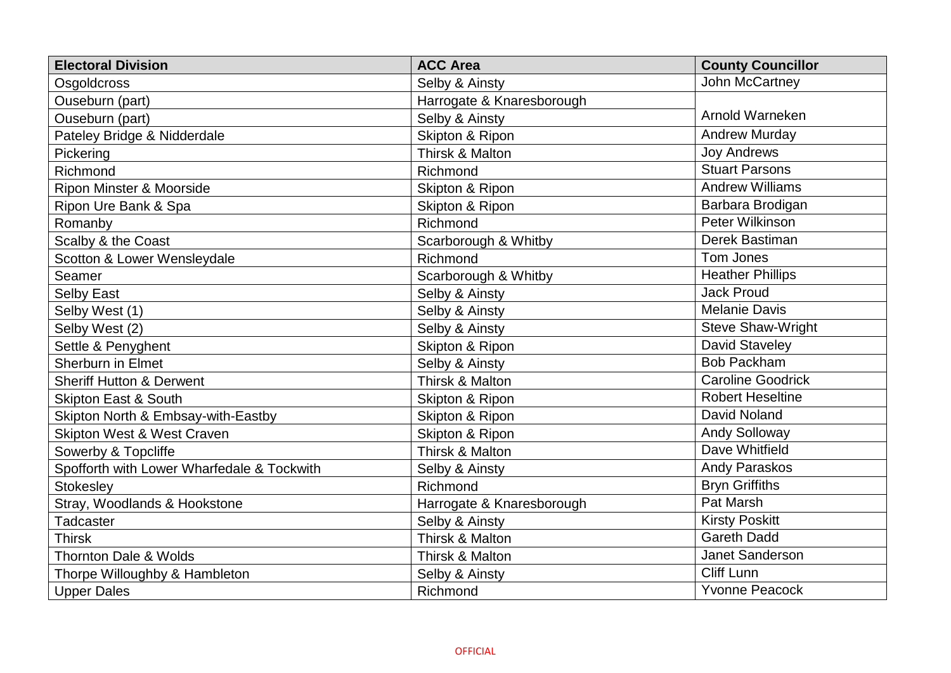| <b>Electoral Division</b>                  | <b>ACC Area</b>           | <b>County Councillor</b> |
|--------------------------------------------|---------------------------|--------------------------|
| Osgoldcross                                | Selby & Ainsty            | John McCartney           |
| Ouseburn (part)                            | Harrogate & Knaresborough |                          |
| Ouseburn (part)                            | Selby & Ainsty            | Arnold Warneken          |
| Pateley Bridge & Nidderdale                | Skipton & Ripon           | <b>Andrew Murday</b>     |
| Pickering                                  | Thirsk & Malton           | <b>Joy Andrews</b>       |
| Richmond                                   | Richmond                  | <b>Stuart Parsons</b>    |
| Ripon Minster & Moorside                   | Skipton & Ripon           | <b>Andrew Williams</b>   |
| Ripon Ure Bank & Spa                       | Skipton & Ripon           | Barbara Brodigan         |
| Romanby                                    | Richmond                  | Peter Wilkinson          |
| Scalby & the Coast                         | Scarborough & Whitby      | Derek Bastiman           |
| Scotton & Lower Wensleydale                | Richmond                  | Tom Jones                |
| Seamer                                     | Scarborough & Whitby      | <b>Heather Phillips</b>  |
| <b>Selby East</b>                          | Selby & Ainsty            | <b>Jack Proud</b>        |
| Selby West (1)                             | Selby & Ainsty            | <b>Melanie Davis</b>     |
| Selby West (2)                             | Selby & Ainsty            | <b>Steve Shaw-Wright</b> |
| Settle & Penyghent                         | Skipton & Ripon           | David Staveley           |
| <b>Sherburn in Elmet</b>                   | Selby & Ainsty            | <b>Bob Packham</b>       |
| <b>Sheriff Hutton &amp; Derwent</b>        | Thirsk & Malton           | <b>Caroline Goodrick</b> |
| <b>Skipton East &amp; South</b>            | Skipton & Ripon           | <b>Robert Heseltine</b>  |
| Skipton North & Embsay-with-Eastby         | Skipton & Ripon           | <b>David Noland</b>      |
| <b>Skipton West &amp; West Craven</b>      | Skipton & Ripon           | <b>Andy Solloway</b>     |
| Sowerby & Topcliffe                        | Thirsk & Malton           | Dave Whitfield           |
| Spofforth with Lower Wharfedale & Tockwith | Selby & Ainsty            | Andy Paraskos            |
| <b>Stokesley</b>                           | Richmond                  | <b>Bryn Griffiths</b>    |
| Stray, Woodlands & Hookstone               | Harrogate & Knaresborough | Pat Marsh                |
| Tadcaster                                  | Selby & Ainsty            | <b>Kirsty Poskitt</b>    |
| <b>Thirsk</b>                              | Thirsk & Malton           | <b>Gareth Dadd</b>       |
| <b>Thornton Dale &amp; Wolds</b>           | Thirsk & Malton           | Janet Sanderson          |
| Thorpe Willoughby & Hambleton              | Selby & Ainsty            | <b>Cliff Lunn</b>        |
| <b>Upper Dales</b>                         | Richmond                  | <b>Yvonne Peacock</b>    |